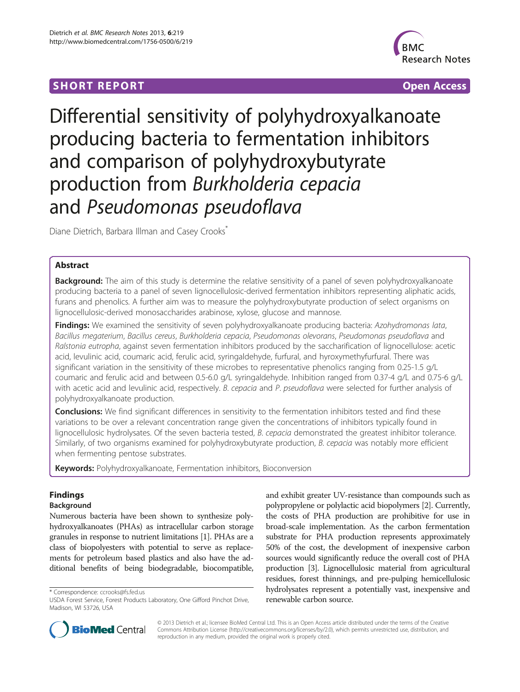# **SHORT REPORT SHORT** *CONTRESS <b>CONTRESS*



# Differential sensitivity of polyhydroxyalkanoate producing bacteria to fermentation inhibitors and comparison of polyhydroxybutyrate production from Burkholderia cepacia and Pseudomonas pseudoflava

Diane Dietrich, Barbara Illman and Casey Crooks<sup>\*</sup>

# Abstract

**Background:** The aim of this study is determine the relative sensitivity of a panel of seven polyhydroxyalkanoate producing bacteria to a panel of seven lignocellulosic-derived fermentation inhibitors representing aliphatic acids, furans and phenolics. A further aim was to measure the polyhydroxybutyrate production of select organisms on lignocellulosic-derived monosaccharides arabinose, xylose, glucose and mannose.

Findings: We examined the sensitivity of seven polyhydroxyalkanoate producing bacteria: Azohydromonas lata, Bacillus megaterium, Bacillus cereus, Burkholderia cepacia, Pseudomonas olevorans, Pseudomonas pseudoflava and Ralstonia eutropha, against seven fermentation inhibitors produced by the saccharification of lignocellulose: acetic acid, levulinic acid, coumaric acid, ferulic acid, syringaldehyde, furfural, and hyroxymethyfurfural. There was significant variation in the sensitivity of these microbes to representative phenolics ranging from 0.25-1.5 g/L coumaric and ferulic acid and between 0.5-6.0 g/L syringaldehyde. Inhibition ranged from 0.37-4 g/L and 0.75-6 g/L with acetic acid and levulinic acid, respectively. B. cepacia and P. pseudoflava were selected for further analysis of polyhydroxyalkanoate production.

**Conclusions:** We find significant differences in sensitivity to the fermentation inhibitors tested and find these variations to be over a relevant concentration range given the concentrations of inhibitors typically found in lignocellulosic hydrolysates. Of the seven bacteria tested, B. cepacia demonstrated the greatest inhibitor tolerance. Similarly, of two organisms examined for polyhydroxybutyrate production, B. cepacia was notably more efficient when fermenting pentose substrates.

**Keywords:** Polyhydroxyalkanoate, Fermentation inhibitors, Bioconversion

# Findings

# Background

Numerous bacteria have been shown to synthesize polyhydroxyalkanoates (PHAs) as intracellular carbon storage granules in response to nutrient limitations [[1](#page-3-0)]. PHAs are a class of biopolyesters with potential to serve as replacements for petroleum based plastics and also have the additional benefits of being biodegradable, biocompatible,

\* Correspondence: [ccrooks@fs.fed.us](mailto:ccrooks@fs.fed.us)

and exhibit greater UV-resistance than compounds such as polypropylene or polylactic acid biopolymers [\[2\]](#page-3-0). Currently, the costs of PHA production are prohibitive for use in broad-scale implementation. As the carbon fermentation substrate for PHA production represents approximately 50% of the cost, the development of inexpensive carbon sources would significantly reduce the overall cost of PHA production [\[3\]](#page-3-0). Lignocellulosic material from agricultural residues, forest thinnings, and pre-pulping hemicellulosic hydrolysates represent a potentially vast, inexpensive and renewable carbon source.



© 2013 Dietrich et al.; licensee BioMed Central Ltd. This is an Open Access article distributed under the terms of the Creative Commons Attribution License [\(http://creativecommons.org/licenses/by/2.0\)](http://creativecommons.org/licenses/by/2.0), which permits unrestricted use, distribution, and reproduction in any medium, provided the original work is properly cited.

USDA Forest Service, Forest Products Laboratory, One Gifford Pinchot Drive, Madison, WI 53726, USA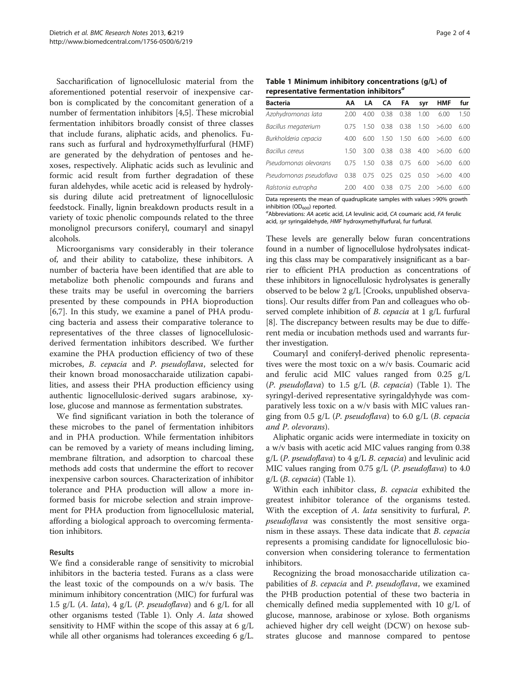Saccharification of lignocellulosic material from the aforementioned potential reservoir of inexpensive carbon is complicated by the concomitant generation of a number of fermentation inhibitors [\[4,5](#page-3-0)]. These microbial fermentation inhibitors broadly consist of three classes that include furans, aliphatic acids, and phenolics. Furans such as furfural and hydroxymethylfurfural (HMF) are generated by the dehydration of pentoses and hexoses, respectively. Aliphatic acids such as levulinic and formic acid result from further degradation of these furan aldehydes, while acetic acid is released by hydrolysis during dilute acid pretreatment of lignocellulosic feedstock. Finally, lignin breakdown products result in a variety of toxic phenolic compounds related to the three monolignol precursors coniferyl, coumaryl and sinapyl alcohols.

Microorganisms vary considerably in their tolerance of, and their ability to catabolize, these inhibitors. A number of bacteria have been identified that are able to metabolize both phenolic compounds and furans and these traits may be useful in overcoming the barriers presented by these compounds in PHA bioproduction [[6,7\]](#page-3-0). In this study, we examine a panel of PHA producing bacteria and assess their comparative tolerance to representatives of the three classes of lignocellulosicderived fermentation inhibitors described. We further examine the PHA production efficiency of two of these microbes, B. cepacia and P. pseudoflava, selected for their known broad monosaccharaide utilization capabilities, and assess their PHA production efficiency using authentic lignocellulosic-derived sugars arabinose, xylose, glucose and mannose as fermentation substrates.

We find significant variation in both the tolerance of these microbes to the panel of fermentation inhibitors and in PHA production. While fermentation inhibitors can be removed by a variety of means including liming, membrane filtration, and adsorption to charcoal these methods add costs that undermine the effort to recover inexpensive carbon sources. Characterization of inhibitor tolerance and PHA production will allow a more informed basis for microbe selection and strain improvement for PHA production from lignocellulosic material, affording a biological approach to overcoming fermentation inhibitors.

#### Results

We find a considerable range of sensitivity to microbial inhibitors in the bacteria tested. Furans as a class were the least toxic of the compounds on a w/v basis. The minimum inhibitory concentration (MIC) for furfural was 1.5 g/L (A. lata), 4 g/L (P. pseudoflava) and 6 g/L for all other organisms tested (Table 1). Only A. lata showed sensitivity to HMF within the scope of this assay at 6 g/L while all other organisms had tolerances exceeding 6 g/L.

|  | Table 1 Minimum inhibitory concentrations (g/L) of  |  |
|--|-----------------------------------------------------|--|
|  | representative fermentation inhibitors <sup>a</sup> |  |

| AA   |                              |      |      |      |                                                                                  | fur                                                                         |
|------|------------------------------|------|------|------|----------------------------------------------------------------------------------|-----------------------------------------------------------------------------|
| 2.00 | 4.00                         | 0.38 | 0.38 | 1.00 | 6.00                                                                             | 1.50                                                                        |
| 0.75 | 1.50                         | 0.38 | 0.38 |      |                                                                                  | 6.00                                                                        |
| 4.00 | 6.00                         | 1.50 |      |      |                                                                                  | 6.00                                                                        |
| 1.50 | 3.00                         |      |      |      |                                                                                  | 6.00                                                                        |
| 0.75 | 1.50                         | 0.38 |      |      |                                                                                  | 6.00                                                                        |
|      |                              |      |      |      | >6.00                                                                            | 4.00                                                                        |
| 2.00 | 4.00                         | 0.38 |      |      |                                                                                  | 6.00                                                                        |
|      | Pseudomonas pseudoflava 0.38 |      |      |      | LA CA FA<br>1.50<br>0.38 0.38<br>$0.75$ 6.00<br>0.75 0.25 0.25 0.50<br>0.75 2.00 | syr HMF<br>$1.50 \t > 6.00$<br>6.00 > 6.00<br>4.00 > 6.00<br>>6.00<br>>6.00 |

Data represents the mean of quadruplicate samples with values >90% growth inhibition  $(OD_{600})$  reported.

Abbreviations: AA acetic acid, LA levulinic acid, CA coumaric acid, FA ferulic acid, syr syringaldehyde, HMF hydroxymethylfurfural, fur furfural.

These levels are generally below furan concentrations found in a number of lignocellulose hydrolysates indicating this class may be comparatively insignificant as a barrier to efficient PHA production as concentrations of these inhibitors in lignocellulosic hydrolysates is generally observed to be below 2 g/L [Crooks, unpublished observations]. Our results differ from Pan and colleagues who observed complete inhibition of *B. cepacia* at 1 g/L furfural [[8\]](#page-3-0). The discrepancy between results may be due to different media or incubation methods used and warrants further investigation.

Coumaryl and coniferyl-derived phenolic representatives were the most toxic on a w/v basis. Coumaric acid and ferulic acid MIC values ranged from 0.25 g/L  $(P. pseudoflava)$  to 1.5 g/L  $(B. cepacia)$  (Table 1). The syringyl-derived representative syringaldyhyde was comparatively less toxic on a w/v basis with MIC values ranging from 0.5 g/L (P. pseudoflava) to 6.0 g/L (B. cepacia and P. olevorans).

Aliphatic organic acids were intermediate in toxicity on a w/v basis with acetic acid MIC values ranging from 0.38 g/L (P. pseudoflava) to 4 g/L B. cepacia) and levulinic acid MIC values ranging from 0.75 g/L (P. pseudoflava) to 4.0  $g/L$  (*B. cepacia*) (Table 1).

Within each inhibitor class, B. cepacia exhibited the greatest inhibitor tolerance of the organisms tested. With the exception of A. *lata* sensitivity to furfural, P. pseudoflava was consistently the most sensitive organism in these assays. These data indicate that B. cepacia represents a promising candidate for lignocellulosic bioconversion when considering tolerance to fermentation inhibitors.

Recognizing the broad monosaccharide utilization capabilities of B. cepacia and P. pseudoflava, we examined the PHB production potential of these two bacteria in chemically defined media supplemented with 10 g/L of glucose, mannose, arabinose or xylose. Both organisms achieved higher dry cell weight (DCW) on hexose substrates glucose and mannose compared to pentose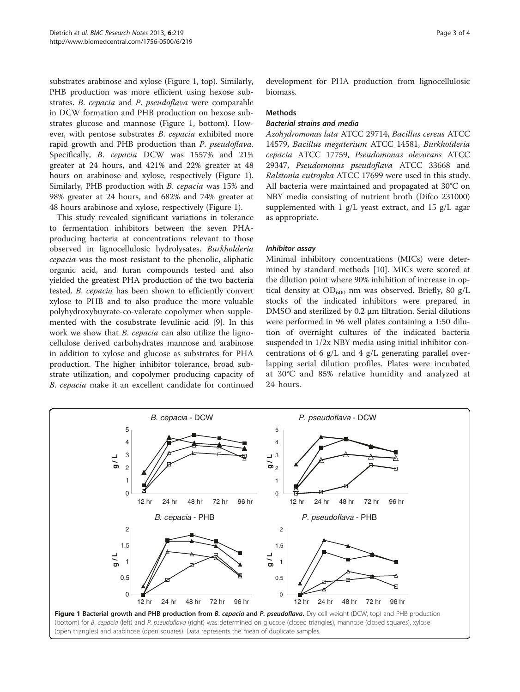<span id="page-2-0"></span>substrates arabinose and xylose (Figure 1, top). Similarly, PHB production was more efficient using hexose substrates. B. cepacia and P. pseudoflava were comparable in DCW formation and PHB production on hexose substrates glucose and mannose (Figure 1, bottom). However, with pentose substrates B. cepacia exhibited more rapid growth and PHB production than P. pseudoflava. Specifically, B. cepacia DCW was 1557% and 21% greater at 24 hours, and 421% and 22% greater at 48 hours on arabinose and xylose, respectively (Figure 1). Similarly, PHB production with B. cepacia was 15% and 98% greater at 24 hours, and 682% and 74% greater at 48 hours arabinose and xylose, respectively (Figure 1).

This study revealed significant variations in tolerance to fermentation inhibitors between the seven PHAproducing bacteria at concentrations relevant to those observed in lignocellulosic hydrolysates. Burkholderia cepacia was the most resistant to the phenolic, aliphatic organic acid, and furan compounds tested and also yielded the greatest PHA production of the two bacteria tested. B. cepacia has been shown to efficiently convert xylose to PHB and to also produce the more valuable polyhydroxybuyrate-co-valerate copolymer when supplemented with the cosubstrate levulinic acid [\[9](#page-3-0)]. In this work we show that B. cepacia can also utilize the lignocellulose derived carbohydrates mannose and arabinose in addition to xylose and glucose as substrates for PHA production. The higher inhibitor tolerance, broad substrate utilization, and copolymer producing capacity of B. cepacia make it an excellent candidate for continued

development for PHA production from lignocellulosic biomass.

#### Methods

### Bacterial strains and media

Azohydromonas lata ATCC 29714, Bacillus cereus ATCC 14579, Bacillus megaterium ATCC 14581, Burkholderia cepacia ATCC 17759, Pseudomonas olevorans ATCC 29347, Pseudomonas pseudoflava ATCC 33668 and Ralstonia eutropha ATCC 17699 were used in this study. All bacteria were maintained and propagated at 30°C on NBY media consisting of nutrient broth (Difco 231000) supplemented with 1  $g/L$  yeast extract, and 15  $g/L$  agar as appropriate.

## Inhibitor assay

Minimal inhibitory concentrations (MICs) were determined by standard methods [[10\]](#page-3-0). MICs were scored at the dilution point where 90% inhibition of increase in optical density at  $OD_{600}$  nm was observed. Briefly, 80 g/L stocks of the indicated inhibitors were prepared in DMSO and sterilized by 0.2 μm filtration. Serial dilutions were performed in 96 well plates containing a 1:50 dilution of overnight cultures of the indicated bacteria suspended in 1/2x NBY media using initial inhibitor concentrations of 6 g/L and 4 g/L generating parallel overlapping serial dilution profiles. Plates were incubated at 30°C and 85% relative humidity and analyzed at 24 hours.